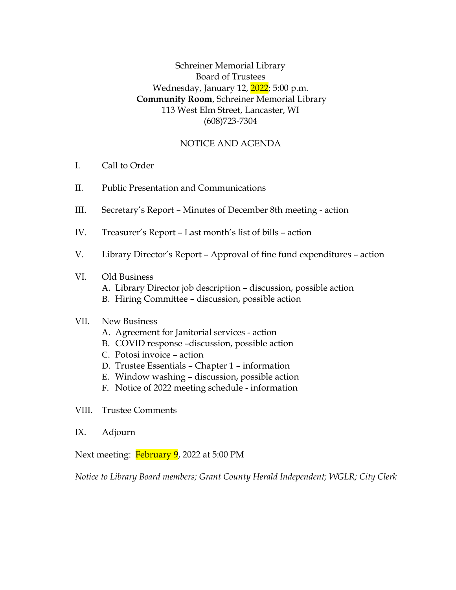Schreiner Memorial Library Board of Trustees Wednesday, January 12, 2022; 5:00 p.m. **Community Room**, Schreiner Memorial Library 113 West Elm Street, Lancaster, WI (608)723-7304

# NOTICE AND AGENDA

- I. Call to Order
- II. Public Presentation and Communications
- III. Secretary's Report Minutes of December 8th meeting action
- IV. Treasurer's Report Last month's list of bills action
- V. Library Director's Report Approval of fine fund expenditures action

### VI. Old Business

- A. Library Director job description discussion, possible action
- B. Hiring Committee discussion, possible action

### VII. New Business

- A. Agreement for Janitorial services action
- B. COVID response –discussion, possible action
- C. Potosi invoice action
- D. Trustee Essentials Chapter 1 information
- E. Window washing discussion, possible action
- F. Notice of 2022 meeting schedule information
- VIII. Trustee Comments
- IX. Adjourn

Next meeting: February 9, 2022 at 5:00 PM

*Notice to Library Board members; Grant County Herald Independent; WGLR; City Clerk*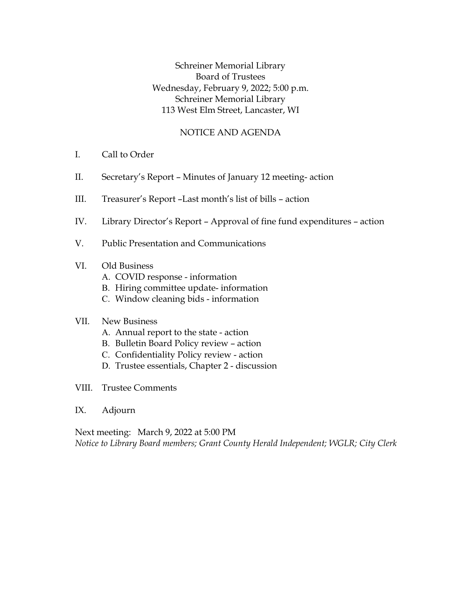Schreiner Memorial Library Board of Trustees Wednesday, February 9, 2022; 5:00 p.m. Schreiner Memorial Library 113 West Elm Street, Lancaster, WI

### NOTICE AND AGENDA

- I. Call to Order
- II. Secretary's Report Minutes of January 12 meeting- action
- III. Treasurer's Report –Last month's list of bills action
- IV. Library Director's Report Approval of fine fund expenditures action
- V. Public Presentation and Communications

### VI. Old Business

- A. COVID response information
- B. Hiring committee update- information
- C. Window cleaning bids information

### VII. New Business

- A. Annual report to the state action
- B. Bulletin Board Policy review action
- C. Confidentiality Policy review action
- D. Trustee essentials, Chapter 2 discussion
- VIII. Trustee Comments
- IX. Adjourn

Next meeting: March 9, 2022 at 5:00 PM *Notice to Library Board members; Grant County Herald Independent; WGLR; City Clerk*